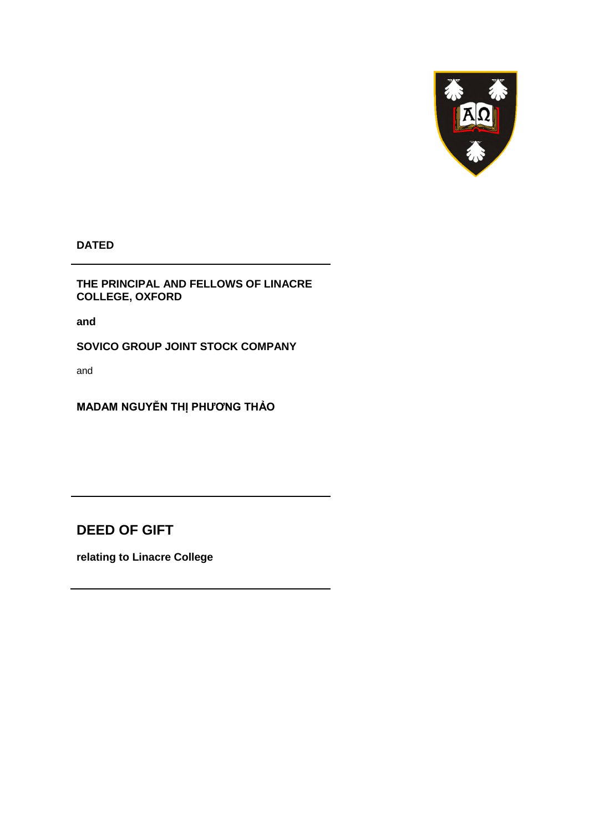

**DATED** 

**THE PRINCIPAL AND FELLOWS OF LINACRE COLLEGE, OXFORD** 

**and** 

**SOVICO GROUP JOINT STOCK COMPANY** 

and

**MADAM NGUYỄN THỊ PHƯƠNG THẢO**

**DEED OF GIFT** 

**relating to Linacre College**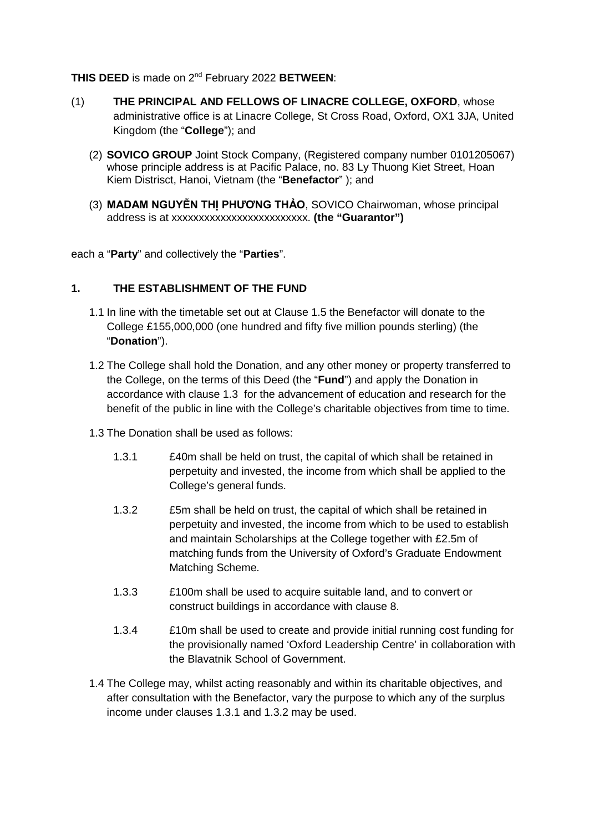#### **THIS DEED** is made on 2nd February 2022 **BETWEEN**:

- (1) **THE PRINCIPAL AND FELLOWS OF LINACRE COLLEGE, OXFORD**, whose administrative office is at Linacre College, St Cross Road, Oxford, OX1 3JA, United Kingdom (the "**College**"); and
	- (2) **SOVICO GROUP** Joint Stock Company, (Registered company number 0101205067) whose principle address is at Pacific Palace, no. 83 Ly Thuong Kiet Street, Hoan Kiem Distrisct, Hanoi, Vietnam (the "**Benefactor**" ); and
	- (3) **MADAM NGUYỄN THỊ PHƯƠNG THẢO**, SOVICO Chairwoman, whose principal address is at xxxxxxxxxxxxxxxxxxxxxxxxx. **(the "Guarantor")**

each a "**Party**" and collectively the "**Parties**".

#### **1. THE ESTABLISHMENT OF THE FUND**

- 1.1 In line with the timetable set out at Clause [1.5](#page-2-0) the Benefactor will donate to the College £155,000,000 (one hundred and fifty five million pounds sterling) (the "**Donation**").
- 1.2 The College shall hold the Donation, and any other money or property transferred to the College, on the terms of this Deed (the "**Fund**") and apply the Donation in accordance with clause [1.3](#page-1-0) for the advancement of education and research for the benefit of the public in line with the College's charitable objectives from time to time.
- <span id="page-1-2"></span><span id="page-1-1"></span><span id="page-1-0"></span>1.3 The Donation shall be used as follows:
	- 1.3.1 £40m shall be held on trust, the capital of which shall be retained in perpetuity and invested, the income from which shall be applied to the College's general funds.
	- 1.3.2 £5m shall be held on trust, the capital of which shall be retained in perpetuity and invested, the income from which to be used to establish and maintain Scholarships at the College together with £2.5m of matching funds from the University of Oxford's Graduate Endowment Matching Scheme.
	- 1.3.3 £100m shall be used to acquire suitable land, and to convert or construct buildings in accordance with clause [8.](#page-5-0)
	- 1.3.4 £10m shall be used to create and provide initial running cost funding for the provisionally named 'Oxford Leadership Centre' in collaboration with the Blavatnik School of Government.
- <span id="page-1-3"></span>1.4 The College may, whilst acting reasonably and within its charitable objectives, and after consultation with the Benefactor, vary the purpose to which any of the surplus income under clauses [1.3.1](#page-1-1) and [1.3.2](#page-1-2) may be used.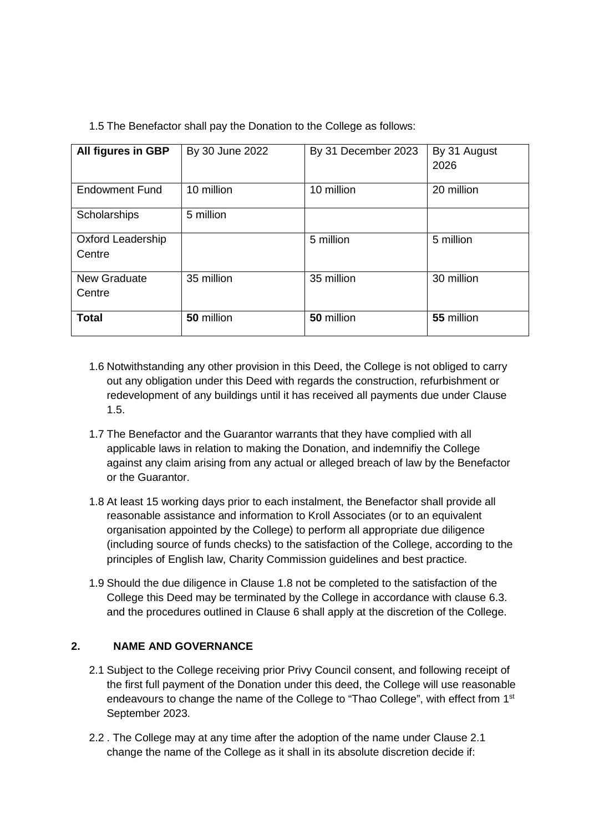<span id="page-2-0"></span>

| 1.5 The Benefactor shall pay the Donation to the College as follows: |  |
|----------------------------------------------------------------------|--|
|                                                                      |  |

| All figures in GBP       | By 30 June 2022 | By 31 December 2023 | By 31 August |
|--------------------------|-----------------|---------------------|--------------|
|                          |                 |                     | 2026         |
|                          |                 |                     |              |
| <b>Endowment Fund</b>    | 10 million      | 10 million          | 20 million   |
| Scholarships             | 5 million       |                     |              |
| <b>Oxford Leadership</b> |                 | 5 million           | 5 million    |
| Centre                   |                 |                     |              |
| New Graduate             | 35 million      | 35 million          | 30 million   |
| Centre                   |                 |                     |              |
|                          |                 |                     |              |
| <b>Total</b>             | 50 million      | 50 million          | 55 million   |

- 1.6 Notwithstanding any other provision in this Deed, the College is not obliged to carry out any obligation under this Deed with regards the construction, refurbishment or redevelopment of any buildings until it has received all payments due under Clause [1.5.](#page-2-0)
- 1.7 The Benefactor and the Guarantor warrants that they have complied with all applicable laws in relation to making the Donation, and indemnifiy the College against any claim arising from any actual or alleged breach of law by the Benefactor or the Guarantor.
- <span id="page-2-1"></span>1.8 At least 15 working days prior to each instalment, the Benefactor shall provide all reasonable assistance and information to Kroll Associates (or to an equivalent organisation appointed by the College) to perform all appropriate due diligence (including source of funds checks) to the satisfaction of the College, according to the principles of English law, Charity Commission guidelines and best practice.
- 1.9 Should the due diligence in Clause [1.8](#page-2-1) not be completed to the satisfaction of the College this Deed may be terminated by the College in accordance with clause 6.3. and the procedures outlined in Clause 6 shall apply at the discretion of the College.

# **2. NAME AND GOVERNANCE**

- <span id="page-2-2"></span>2.1 Subject to the College receiving prior Privy Council consent, and following receipt of the first full payment of the Donation under this deed, the College will use reasonable endeavours to change the name of the College to "Thao College", with effect from 1<sup>st</sup> September 2023.
- 2.2 . The College may at any time after the adoption of the name under Clause [2.1](#page-2-2) change the name of the College as it shall in its absolute discretion decide if: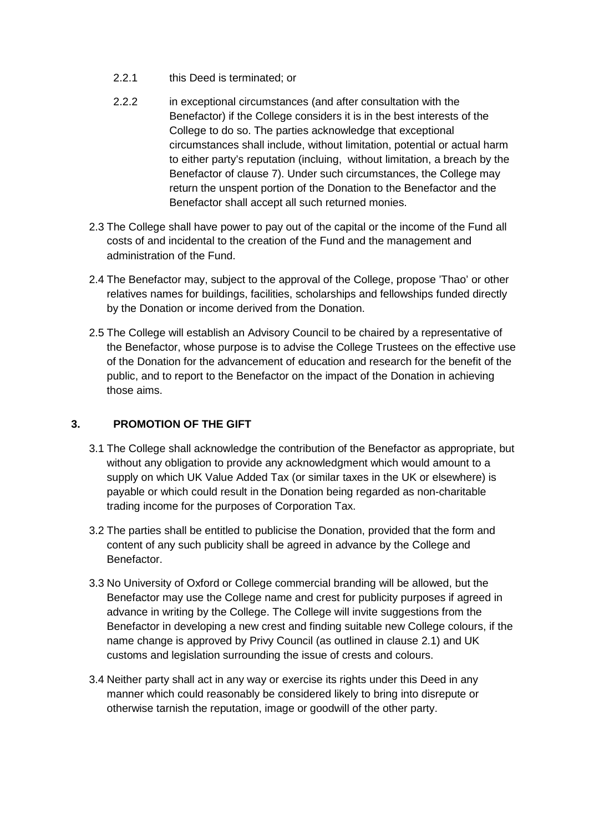- 2.2.1 this Deed is terminated; or
- 2.2.2 in exceptional circumstances (and after consultation with the Benefactor) if the College considers it is in the best interests of the College to do so. The parties acknowledge that exceptional circumstances shall include, without limitation, potential or actual harm to either party's reputation (incluing, without limitation, a breach by the Benefactor of clause [7\)](#page-4-0). Under such circumstances, the College may return the unspent portion of the Donation to the Benefactor and the Benefactor shall accept all such returned monies.
- 2.3 The College shall have power to pay out of the capital or the income of the Fund all costs of and incidental to the creation of the Fund and the management and administration of the Fund.
- 2.4 The Benefactor may, subject to the approval of the College, propose 'Thao' or other relatives names for buildings, facilities, scholarships and fellowships funded directly by the Donation or income derived from the Donation.
- 2.5 The College will establish an Advisory Council to be chaired by a representative of the Benefactor, whose purpose is to advise the College Trustees on the effective use of the Donation for the advancement of education and research for the benefit of the public, and to report to the Benefactor on the impact of the Donation in achieving those aims.

## **3. PROMOTION OF THE GIFT**

- 3.1 The College shall acknowledge the contribution of the Benefactor as appropriate, but without any obligation to provide any acknowledgment which would amount to a supply on which UK Value Added Tax (or similar taxes in the UK or elsewhere) is payable or which could result in the Donation being regarded as non-charitable trading income for the purposes of Corporation Tax.
- 3.2 The parties shall be entitled to publicise the Donation, provided that the form and content of any such publicity shall be agreed in advance by the College and Benefactor.
- 3.3 No University of Oxford or College commercial branding will be allowed, but the Benefactor may use the College name and crest for publicity purposes if agreed in advance in writing by the College. The College will invite suggestions from the Benefactor in developing a new crest and finding suitable new College colours, if the name change is approved by Privy Council (as outlined in clause [2.1\)](#page-2-2) and UK customs and legislation surrounding the issue of crests and colours.
- 3.4 Neither party shall act in any way or exercise its rights under this Deed in any manner which could reasonably be considered likely to bring into disrepute or otherwise tarnish the reputation, image or goodwill of the other party.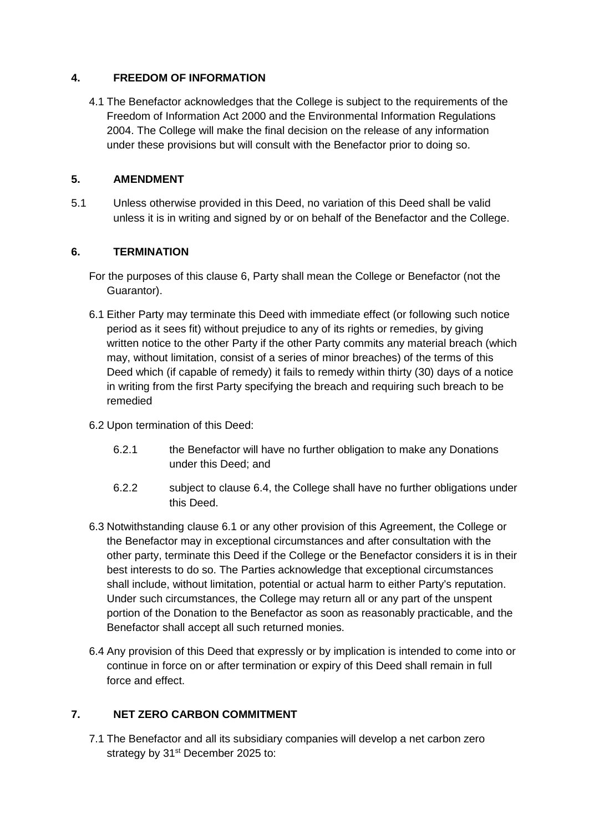#### <span id="page-4-3"></span>**4. FREEDOM OF INFORMATION**

4.1 The Benefactor acknowledges that the College is subject to the requirements of the Freedom of Information Act 2000 and the Environmental Information Regulations 2004. The College will make the final decision on the release of any information under these provisions but will consult with the Benefactor prior to doing so.

## **5. AMENDMENT**

5.1 Unless otherwise provided in this Deed, no variation of this Deed shall be valid unless it is in writing and signed by or on behalf of the Benefactor and the College.

## **6. TERMINATION**

- For the purposes of this clause 6, Party shall mean the College or Benefactor (not the Guarantor).
- <span id="page-4-2"></span>6.1 Either Party may terminate this Deed with immediate effect (or following such notice period as it sees fit) without prejudice to any of its rights or remedies, by giving written notice to the other Party if the other Party commits any material breach (which may, without limitation, consist of a series of minor breaches) of the terms of this Deed which (if capable of remedy) it fails to remedy within thirty (30) days of a notice in writing from the first Party specifying the breach and requiring such breach to be remedied
- 6.2 Upon termination of this Deed:
	- 6.2.1 the Benefactor will have no further obligation to make any Donations under this Deed; and
	- 6.2.2 subject to clause [6.4,](#page-4-1) the College shall have no further obligations under this Deed.
- 6.3 Notwithstanding clause 6.1 or any other provision of this Agreement, the College or the Benefactor may in exceptional circumstances and after consultation with the other party, terminate this Deed if the College or the Benefactor considers it is in their best interests to do so. The Parties acknowledge that exceptional circumstances shall include, without limitation, potential or actual harm to either Party's reputation. Under such circumstances, the College may return all or any part of the unspent portion of the Donation to the Benefactor as soon as reasonably practicable, and the Benefactor shall accept all such returned monies.
- <span id="page-4-1"></span>6.4 Any provision of this Deed that expressly or by implication is intended to come into or continue in force on or after termination or expiry of this Deed shall remain in full force and effect.

## <span id="page-4-0"></span>**7. NET ZERO CARBON COMMITMENT**

7.1 The Benefactor and all its subsidiary companies will develop a net carbon zero strategy by 31<sup>st</sup> December 2025 to: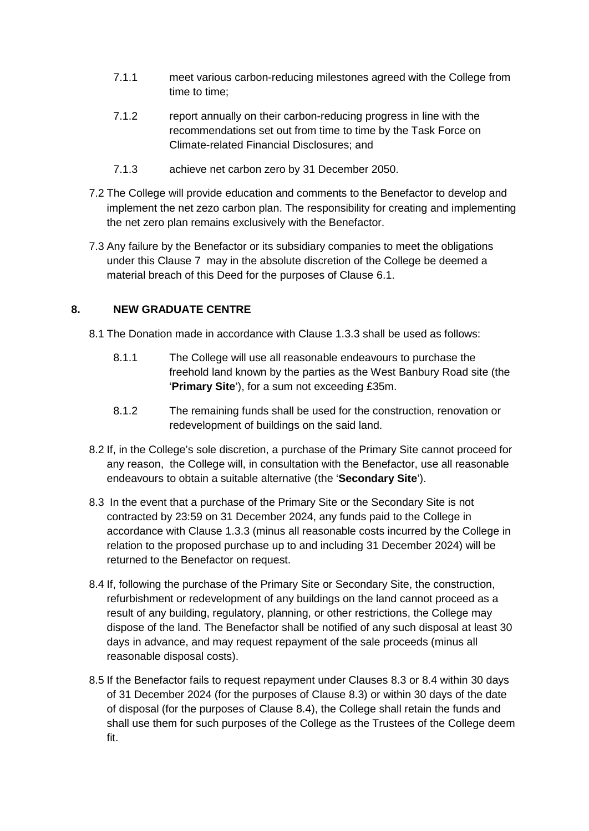- 7.1.1 meet various carbon-reducing milestones agreed with the College from time to time;
- 7.1.2 report annually on their carbon-reducing progress in line with the recommendations set out from time to time by the Task Force on Climate-related Financial Disclosures; and
- 7.1.3 achieve net carbon zero by 31 December 2050.
- 7.2 The College will provide education and comments to the Benefactor to develop and implement the net zezo carbon plan. The responsibility for creating and implementing the net zero plan remains exclusively with the Benefactor.
- 7.3 Any failure by the Benefactor or its subsidiary companies to meet the obligations under this Clause [7](#page-4-0) may in the absolute discretion of the College be deemed a material breach of this Deed for the purposes of Clause [6.1.](#page-4-2)

## <span id="page-5-0"></span>**8. NEW GRADUATE CENTRE**

- 8.1 The Donation made in accordance with Clause [1.3.3](#page-1-3) shall be used as follows:
	- 8.1.1 The College will use all reasonable endeavours to purchase the freehold land known by the parties as the West Banbury Road site (the '**Primary Site**'), for a sum not exceeding £35m.
	- 8.1.2 The remaining funds shall be used for the construction, renovation or redevelopment of buildings on the said land.
- 8.2 If, in the College's sole discretion, a purchase of the Primary Site cannot proceed for any reason, the College will, in consultation with the Benefactor, use all reasonable endeavours to obtain a suitable alternative (the '**Secondary Site**').
- <span id="page-5-1"></span>8.3 In the event that a purchase of the Primary Site or the Secondary Site is not contracted by 23:59 on 31 December 2024, any funds paid to the College in accordance with Clause [1.3.3](#page-1-3) (minus all reasonable costs incurred by the College in relation to the proposed purchase up to and including 31 December 2024) will be returned to the Benefactor on request.
- <span id="page-5-2"></span>8.4 If, following the purchase of the Primary Site or Secondary Site, the construction, refurbishment or redevelopment of any buildings on the land cannot proceed as a result of any building, regulatory, planning, or other restrictions, the College may dispose of the land. The Benefactor shall be notified of any such disposal at least 30 days in advance, and may request repayment of the sale proceeds (minus all reasonable disposal costs).
- 8.5 If the Benefactor fails to request repayment under Clauses [8.3](#page-5-1) or [8.4](#page-5-2) within 30 days of 31 December 2024 (for the purposes of Clause [8.3\)](#page-5-1) or within 30 days of the date of disposal (for the purposes of Clause [8.4\)](#page-5-2), the College shall retain the funds and shall use them for such purposes of the College as the Trustees of the College deem fit.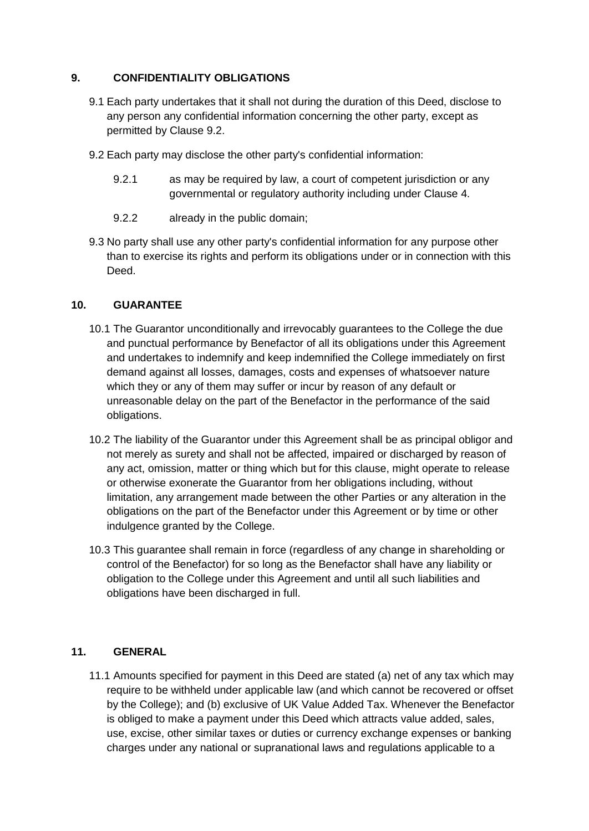#### **9. CONFIDENTIALITY OBLIGATIONS**

- 9.1 Each party undertakes that it shall not during the duration of this Deed, disclose to any person any confidential information concerning the other party, except as permitted by Clause [9.2.](#page-6-0)
- <span id="page-6-0"></span>9.2 Each party may disclose the other party's confidential information:
	- 9.2.1 as may be required by law, a court of competent jurisdiction or any governmental or regulatory authority including under Clause [4.](#page-4-3)
	- 9.2.2 already in the public domain;
- 9.3 No party shall use any other party's confidential information for any purpose other than to exercise its rights and perform its obligations under or in connection with this Deed.

#### **10. GUARANTEE**

- 10.1 The Guarantor unconditionally and irrevocably guarantees to the College the due and punctual performance by Benefactor of all its obligations under this Agreement and undertakes to indemnify and keep indemnified the College immediately on first demand against all losses, damages, costs and expenses of whatsoever nature which they or any of them may suffer or incur by reason of any default or unreasonable delay on the part of the Benefactor in the performance of the said obligations.
- 10.2 The liability of the Guarantor under this Agreement shall be as principal obligor and not merely as surety and shall not be affected, impaired or discharged by reason of any act, omission, matter or thing which but for this clause, might operate to release or otherwise exonerate the Guarantor from her obligations including, without limitation, any arrangement made between the other Parties or any alteration in the obligations on the part of the Benefactor under this Agreement or by time or other indulgence granted by the College.
- 10.3 This guarantee shall remain in force (regardless of any change in shareholding or control of the Benefactor) for so long as the Benefactor shall have any liability or obligation to the College under this Agreement and until all such liabilities and obligations have been discharged in full.

## **11. GENERAL**

11.1 Amounts specified for payment in this Deed are stated (a) net of any tax which may require to be withheld under applicable law (and which cannot be recovered or offset by the College); and (b) exclusive of UK Value Added Tax. Whenever the Benefactor is obliged to make a payment under this Deed which attracts value added, sales, use, excise, other similar taxes or duties or currency exchange expenses or banking charges under any national or supranational laws and regulations applicable to a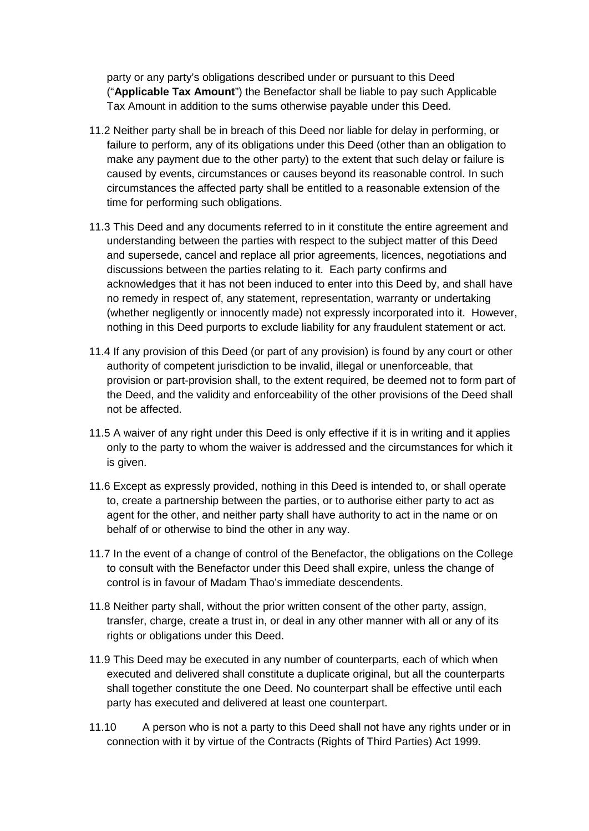party or any party's obligations described under or pursuant to this Deed ("**Applicable Tax Amount**") the Benefactor shall be liable to pay such Applicable Tax Amount in addition to the sums otherwise payable under this Deed.

- 11.2 Neither party shall be in breach of this Deed nor liable for delay in performing, or failure to perform, any of its obligations under this Deed (other than an obligation to make any payment due to the other party) to the extent that such delay or failure is caused by events, circumstances or causes beyond its reasonable control. In such circumstances the affected party shall be entitled to a reasonable extension of the time for performing such obligations.
- 11.3 This Deed and any documents referred to in it constitute the entire agreement and understanding between the parties with respect to the subject matter of this Deed and supersede, cancel and replace all prior agreements, licences, negotiations and discussions between the parties relating to it. Each party confirms and acknowledges that it has not been induced to enter into this Deed by, and shall have no remedy in respect of, any statement, representation, warranty or undertaking (whether negligently or innocently made) not expressly incorporated into it. However, nothing in this Deed purports to exclude liability for any fraudulent statement or act.
- 11.4 If any provision of this Deed (or part of any provision) is found by any court or other authority of competent jurisdiction to be invalid, illegal or unenforceable, that provision or part-provision shall, to the extent required, be deemed not to form part of the Deed, and the validity and enforceability of the other provisions of the Deed shall not be affected.
- 11.5 A waiver of any right under this Deed is only effective if it is in writing and it applies only to the party to whom the waiver is addressed and the circumstances for which it is given.
- 11.6 Except as expressly provided, nothing in this Deed is intended to, or shall operate to, create a partnership between the parties, or to authorise either party to act as agent for the other, and neither party shall have authority to act in the name or on behalf of or otherwise to bind the other in any way.
- 11.7 In the event of a change of control of the Benefactor, the obligations on the College to consult with the Benefactor under this Deed shall expire, unless the change of control is in favour of Madam Thao's immediate descendents.
- 11.8 Neither party shall, without the prior written consent of the other party, assign, transfer, charge, create a trust in, or deal in any other manner with all or any of its rights or obligations under this Deed.
- 11.9 This Deed may be executed in any number of counterparts, each of which when executed and delivered shall constitute a duplicate original, but all the counterparts shall together constitute the one Deed. No counterpart shall be effective until each party has executed and delivered at least one counterpart.
- 11.10 A person who is not a party to this Deed shall not have any rights under or in connection with it by virtue of the Contracts (Rights of Third Parties) Act 1999.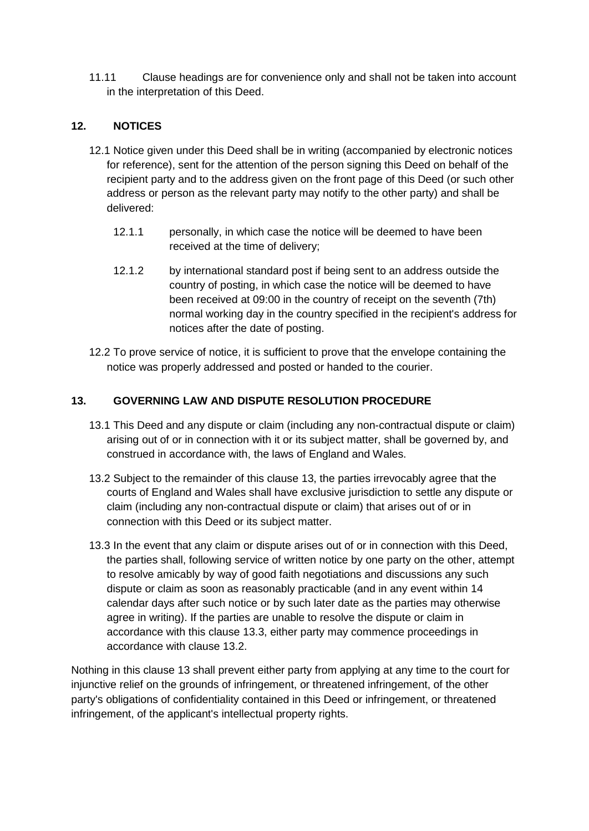11.11 Clause headings are for convenience only and shall not be taken into account in the interpretation of this Deed.

## **12. NOTICES**

- 12.1 Notice given under this Deed shall be in writing (accompanied by electronic notices for reference), sent for the attention of the person signing this Deed on behalf of the recipient party and to the address given on the front page of this Deed (or such other address or person as the relevant party may notify to the other party) and shall be delivered:
	- 12.1.1 personally, in which case the notice will be deemed to have been received at the time of delivery;
	- 12.1.2 by international standard post if being sent to an address outside the country of posting, in which case the notice will be deemed to have been received at 09:00 in the country of receipt on the seventh (7th) normal working day in the country specified in the recipient's address for notices after the date of posting.
- 12.2 To prove service of notice, it is sufficient to prove that the envelope containing the notice was properly addressed and posted or handed to the courier.

## <span id="page-8-0"></span>**13. GOVERNING LAW AND DISPUTE RESOLUTION PROCEDURE**

- 13.1 This Deed and any dispute or claim (including any non-contractual dispute or claim) arising out of or in connection with it or its subject matter, shall be governed by, and construed in accordance with, the laws of England and Wales.
- <span id="page-8-2"></span>13.2 Subject to the remainder of this clause [13,](#page-8-0) the parties irrevocably agree that the courts of England and Wales shall have exclusive jurisdiction to settle any dispute or claim (including any non-contractual dispute or claim) that arises out of or in connection with this Deed or its subject matter.
- <span id="page-8-1"></span>13.3 In the event that any claim or dispute arises out of or in connection with this Deed, the parties shall, following service of written notice by one party on the other, attempt to resolve amicably by way of good faith negotiations and discussions any such dispute or claim as soon as reasonably practicable (and in any event within 14 calendar days after such notice or by such later date as the parties may otherwise agree in writing). If the parties are unable to resolve the dispute or claim in accordance with this clause [13.3,](#page-8-1) either party may commence proceedings in accordance with clause [13.2.](#page-8-2)

Nothing in this clause [13](#page-8-0) shall prevent either party from applying at any time to the court for injunctive relief on the grounds of infringement, or threatened infringement, of the other party's obligations of confidentiality contained in this Deed or infringement, or threatened infringement, of the applicant's intellectual property rights.